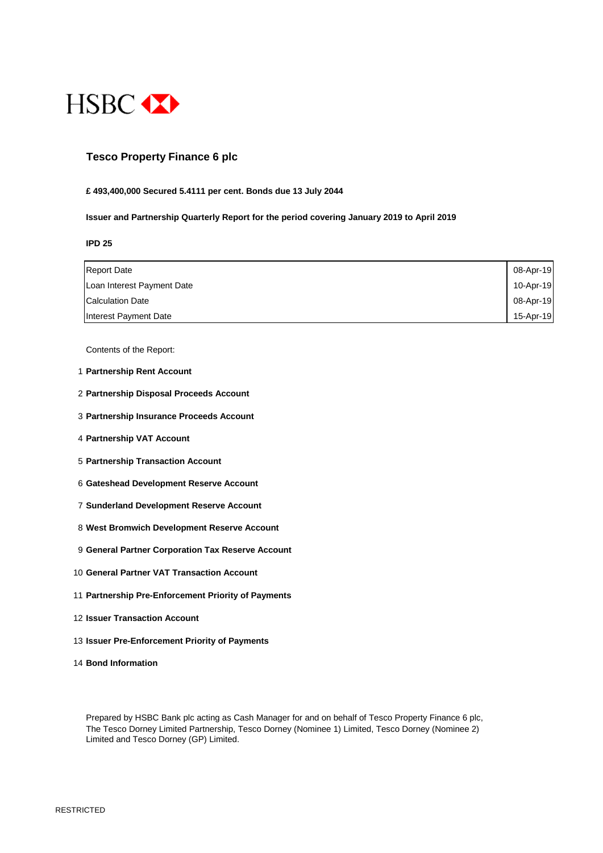

### **Tesco Property Finance 6 plc**

#### **£ 493,400,000 Secured 5.4111 per cent. Bonds due 13 July 2044**

#### **Issuer and Partnership Quarterly Report for the period covering January 2019 to April 2019**

**IPD 25**

| <b>Report Date</b>         | 08-Apr-19 |
|----------------------------|-----------|
| Loan Interest Payment Date | 10-Apr-19 |
| <b>Calculation Date</b>    | 08-Apr-19 |
| Interest Payment Date      | 15-Apr-19 |

Contents of the Report:

- 1 **Partnership Rent Account**
- 2 **Partnership Disposal Proceeds Account**
- 3 **Partnership Insurance Proceeds Account**
- 4 **Partnership VAT Account**
- 5 **Partnership Transaction Account**
- 6 **Gateshead Development Reserve Account**
- 7 **Sunderland Development Reserve Account**
- 8 **West Bromwich Development Reserve Account**
- 9 **General Partner Corporation Tax Reserve Account**
- 10 **General Partner VAT Transaction Account**
- 11 **Partnership Pre-Enforcement Priority of Payments**
- 12 **Issuer Transaction Account**
- 13 **Issuer Pre-Enforcement Priority of Payments**
- 14 **Bond Information**

Prepared by HSBC Bank plc acting as Cash Manager for and on behalf of Tesco Property Finance 6 plc, The Tesco Dorney Limited Partnership, Tesco Dorney (Nominee 1) Limited, Tesco Dorney (Nominee 2) Limited and Tesco Dorney (GP) Limited.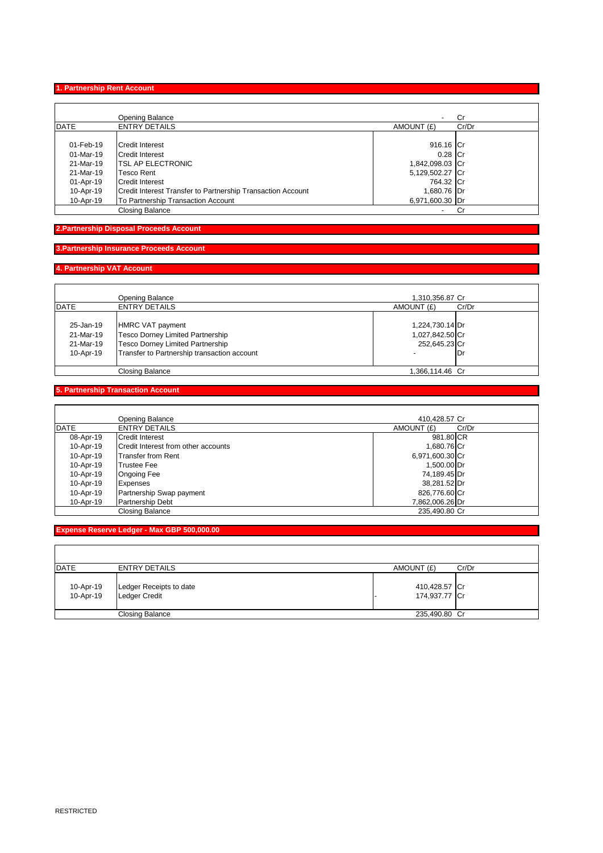#### **1. Partnership Rent Account**

|             | <b>Opening Balance</b>                                      | $\overline{\phantom{0}}$ | Cr    |  |
|-------------|-------------------------------------------------------------|--------------------------|-------|--|
| <b>DATE</b> | <b>ENTRY DETAILS</b>                                        | AMOUNT (£)               | Cr/Dr |  |
| 01-Feb-19   | Credit Interest                                             | 916.16 Cr                |       |  |
| 01-Mar-19   | <b>Credit Interest</b>                                      | $0.28$ Cr                |       |  |
| 21-Mar-19   | <b>TSL AP ELECTRONIC</b>                                    | 1,842,098.03 Cr          |       |  |
| 21-Mar-19   | Tesco Rent                                                  | 5,129,502.27 Cr          |       |  |
| 01-Apr-19   | Credit Interest                                             | 764.32 Cr                |       |  |
| 10-Apr-19   | Credit Interest Transfer to Partnership Transaction Account | 1,680.76 Dr              |       |  |
| 10-Apr-19   | To Partnership Transaction Account                          | 6,971,600.30 Dr          |       |  |
|             | <b>Closing Balance</b>                                      | -                        | Cr    |  |

# **2.Partnership Disposal Proceeds Account**

# **3.Partnership Insurance Proceeds Account**

#### **4. Partnership VAT Account**

|                        | <b>Opening Balance</b>                                                          | 1,310,356.87 Cr                    |       |
|------------------------|---------------------------------------------------------------------------------|------------------------------------|-------|
| DATE                   | <b>ENTRY DETAILS</b>                                                            | AMOUNT (£)                         | Cr/Dr |
| 25-Jan-19<br>21-Mar-19 | HMRC VAT payment<br>Tesco Dorney Limited Partnership                            | 1,224,730.14 Dr<br>1,027,842.50 Cr |       |
| 21-Mar-19<br>10-Apr-19 | Tesco Dorney Limited Partnership<br>Transfer to Partnership transaction account | 252,645.23 Cr                      | Dr    |
|                        | <b>Closing Balance</b>                                                          | 1,366,114.46 Cr                    |       |

# **5. Partnership Transaction Account**

|           | Opening Balance                     | 410.428.57 Cr   |       |
|-----------|-------------------------------------|-----------------|-------|
| DATE      | <b>ENTRY DETAILS</b>                | AMOUNT (£)      | Cr/Dr |
| 08-Apr-19 | <b>Credit Interest</b>              | 981.80 CR       |       |
| 10-Apr-19 | Credit Interest from other accounts | 1.680.76 Cr     |       |
| 10-Apr-19 | <b>Transfer from Rent</b>           | 6,971,600.30 Cr |       |
| 10-Apr-19 | <b>Trustee Fee</b>                  | 1,500.00 Dr     |       |
| 10-Apr-19 | <b>Ongoing Fee</b>                  | 74,189.45 Dr    |       |
| 10-Apr-19 | <b>Expenses</b>                     | 38,281.52 Dr    |       |
| 10-Apr-19 | Partnership Swap payment            | 826,776.60 Cr   |       |
| 10-Apr-19 | <b>Partnership Debt</b>             | 7,862,006.26 Dr |       |
|           | Closing Balance                     | 235.490.80 Cr   |       |

# **Expense Reserve Ledger - Max GBP 500,000.00**

| DATE                   | <b>ENTRY DETAILS</b>                            | AMOUNT (£)                     | Cr/Dr |
|------------------------|-------------------------------------------------|--------------------------------|-------|
| 10-Apr-19<br>10-Apr-19 | Ledger Receipts to date<br><b>Ledger Credit</b> | 410,428.57 Cr<br>174,937.77 Cr |       |
|                        | Closing Balance                                 | 235,490.80 Cr                  |       |

 $\mathsf{r}$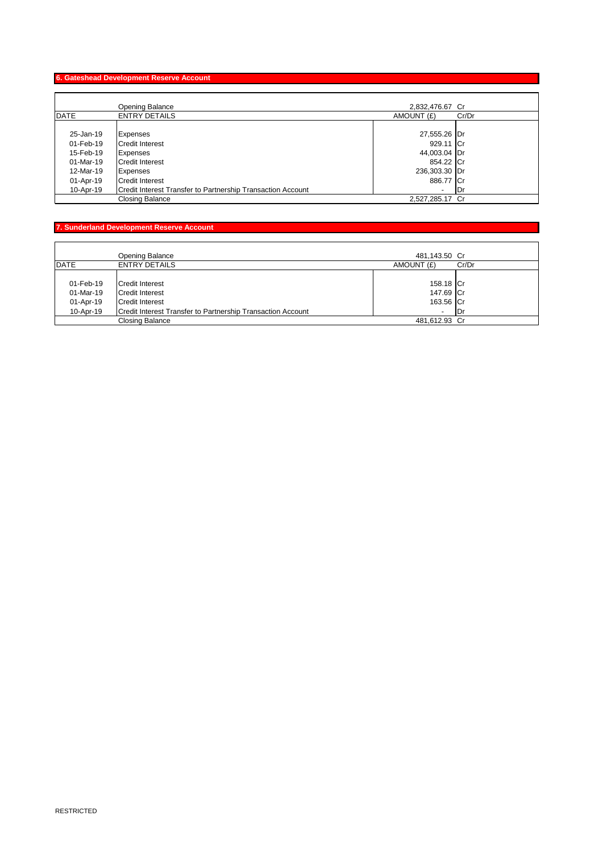#### **6. Gateshead Development Reserve Account**

|             | Opening Balance                                             | 2,832,476.67 Cr     |  |
|-------------|-------------------------------------------------------------|---------------------|--|
| <b>DATE</b> | <b>ENTRY DETAILS</b>                                        | AMOUNT (£)<br>Cr/Dr |  |
|             |                                                             |                     |  |
| 25-Jan-19   | Expenses                                                    | 27,555.26 Dr        |  |
| 01-Feb-19   | <b>Credit Interest</b>                                      | 929.11 Cr           |  |
| 15-Feb-19   | Expenses                                                    | 44,003.04 Dr        |  |
| 01-Mar-19   | <b>Credit Interest</b>                                      | 854.22 Cr           |  |
| 12-Mar-19   | Expenses                                                    | 236,303.30 Dr       |  |
| 01-Apr-19   | <b>Credit Interest</b>                                      | 886.77 Cr           |  |
| 10-Apr-19   | Credit Interest Transfer to Partnership Transaction Account | 1Dr<br>٠            |  |
|             | Closing Balance                                             | 2,527,285.17 Cr     |  |

# **7. Sunderland Development Reserve Account**

|             | Opening Balance                                             | 481,143.50 Cr            |       |
|-------------|-------------------------------------------------------------|--------------------------|-------|
| <b>DATE</b> | <b>ENTRY DETAILS</b>                                        | AMOUNT (£)               | Cr/Dr |
|             |                                                             |                          |       |
| 01-Feb-19   | Credit Interest                                             | 158.18 Cr                |       |
| 01-Mar-19   | Credit Interest                                             | 147.69 Cr                |       |
| 01-Apr-19   | Credit Interest                                             | 163.56 Cr                |       |
| 10-Apr-19   | Credit Interest Transfer to Partnership Transaction Account | $\overline{\phantom{0}}$ | 1Dr   |
|             | Closing Balance                                             | 481,612.93 Cr            |       |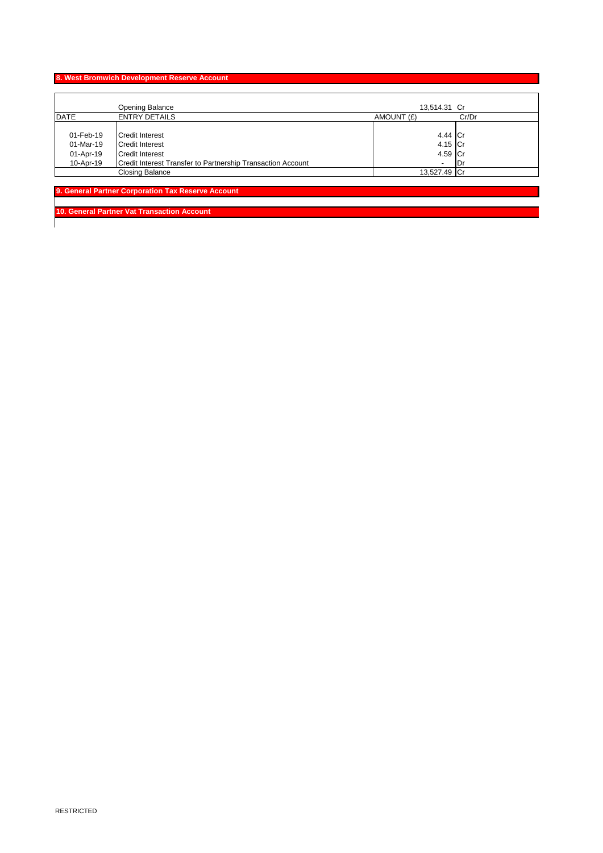# **8. West Bromwich Development Reserve Account**

|             | <b>Opening Balance</b>                                      | 13,514.31 Cr             |       |
|-------------|-------------------------------------------------------------|--------------------------|-------|
| <b>DATE</b> | <b>ENTRY DETAILS</b>                                        | AMOUNT (£)               | Cr/Dr |
|             |                                                             |                          |       |
| 01-Feb-19   | <b>Credit Interest</b>                                      | 4.44 Cr                  |       |
| 01-Mar-19   | <b>Credit Interest</b>                                      | 4.15 Cr                  |       |
| 01-Apr-19   | <b>Credit Interest</b>                                      | 4.59 Cr                  |       |
| 10-Apr-19   | Credit Interest Transfer to Partnership Transaction Account | $\overline{\phantom{0}}$ | 1Dr   |
|             | <b>Closing Balance</b>                                      | 13,527.49 Cr             |       |

**9. General Partner Corporation Tax Reserve Account** 

**10. General Partner Vat Transaction Account**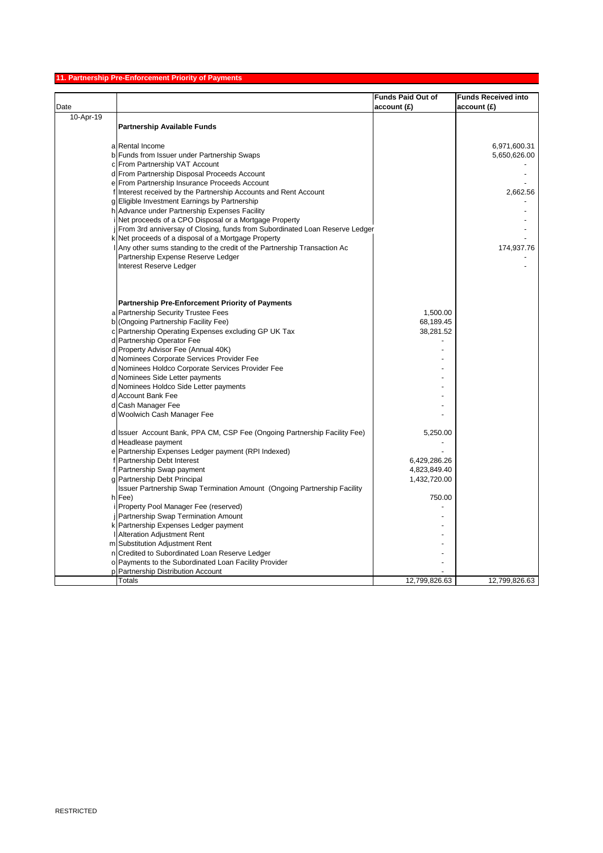#### **11. Partnership Pre-Enforcement Priority of Payments**

|           |                                                                             | <b>Funds Paid Out of</b> | <b>Funds Received into</b> |
|-----------|-----------------------------------------------------------------------------|--------------------------|----------------------------|
| Date      |                                                                             | account(E)               | account(E)                 |
| 10-Apr-19 |                                                                             |                          |                            |
|           | <b>Partnership Available Funds</b>                                          |                          |                            |
|           |                                                                             |                          |                            |
|           | a Rental Income                                                             |                          | 6,971,600.31               |
|           | b Funds from Issuer under Partnership Swaps                                 |                          | 5,650,626.00               |
|           | c From Partnership VAT Account                                              |                          |                            |
|           | d From Partnership Disposal Proceeds Account                                |                          |                            |
|           | e From Partnership Insurance Proceeds Account                               |                          |                            |
|           | f Interest received by the Partnership Accounts and Rent Account            |                          | 2,662.56                   |
|           | g Eligible Investment Earnings by Partnership                               |                          |                            |
|           | h Advance under Partnership Expenses Facility                               |                          |                            |
|           | i Net proceeds of a CPO Disposal or a Mortgage Property                     |                          |                            |
|           | From 3rd anniversay of Closing, funds from Subordinated Loan Reserve Ledger |                          |                            |
|           | k Net proceeds of a disposal of a Mortgage Property                         |                          |                            |
|           | Any other sums standing to the credit of the Partnership Transaction Ac     |                          | 174,937.76                 |
|           | Partnership Expense Reserve Ledger                                          |                          |                            |
|           | Interest Reserve Ledger                                                     |                          |                            |
|           |                                                                             |                          |                            |
|           |                                                                             |                          |                            |
|           |                                                                             |                          |                            |
|           | <b>Partnership Pre-Enforcement Priority of Payments</b>                     |                          |                            |
|           | a Partnership Security Trustee Fees                                         | 1,500.00                 |                            |
|           | b (Ongoing Partnership Facility Fee)                                        | 68,189.45                |                            |
|           | c Partnership Operating Expenses excluding GP UK Tax                        | 38,281.52                |                            |
|           | d Partnership Operator Fee                                                  |                          |                            |
|           | d Property Advisor Fee (Annual 40K)                                         |                          |                            |
|           | d Nominees Corporate Services Provider Fee                                  |                          |                            |
|           | d Nominees Holdco Corporate Services Provider Fee                           |                          |                            |
|           | d Nominees Side Letter payments                                             |                          |                            |
|           | d Nominees Holdco Side Letter payments                                      |                          |                            |
|           | d Account Bank Fee                                                          |                          |                            |
|           | d Cash Manager Fee                                                          |                          |                            |
|           | d Woolwich Cash Manager Fee                                                 |                          |                            |
|           |                                                                             |                          |                            |
|           | d Issuer Account Bank, PPA CM, CSP Fee (Ongoing Partnership Facility Fee)   | 5,250.00                 |                            |
|           | d Headlease payment                                                         |                          |                            |
|           | e Partnership Expenses Ledger payment (RPI Indexed)                         |                          |                            |
|           | Partnership Debt Interest                                                   | 6,429,286.26             |                            |
|           | f Partnership Swap payment                                                  | 4,823,849.40             |                            |
|           | g Partnership Debt Principal                                                | 1,432,720.00             |                            |
|           | Issuer Partnership Swap Termination Amount (Ongoing Partnership Facility    |                          |                            |
|           | h Fee)                                                                      | 750.00                   |                            |
|           | i Property Pool Manager Fee (reserved)                                      |                          |                            |
|           | <b>Partnership Swap Termination Amount</b>                                  |                          |                            |
|           | k Partnership Expenses Ledger payment                                       |                          |                            |
|           | <b>Alteration Adjustment Rent</b>                                           |                          |                            |
|           | m Substitution Adjustment Rent                                              |                          |                            |
|           | n Credited to Subordinated Loan Reserve Ledger                              |                          |                            |
|           | o Payments to the Subordinated Loan Facility Provider                       |                          |                            |
|           | p Partnership Distribution Account                                          |                          |                            |
|           | Totals                                                                      | 12,799,826.63            | 12,799,826.63              |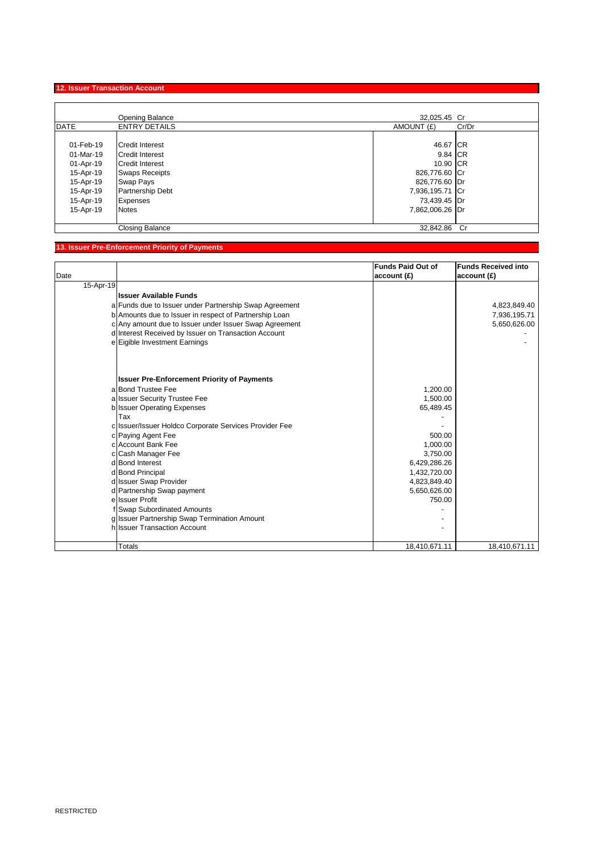# **12. Issuer Transaction Account**

|             | <b>Opening Balance</b> | 32,025.45 Cr        |  |
|-------------|------------------------|---------------------|--|
| <b>DATE</b> | <b>ENTRY DETAILS</b>   | AMOUNT (£)<br>Cr/Dr |  |
|             |                        |                     |  |
| 01-Feb-19   | <b>Credit Interest</b> | 46.67 CR            |  |
| 01-Mar-19   | <b>Credit Interest</b> | 9.84 CR             |  |
| 01-Apr-19   | <b>Credit Interest</b> | 10.90 CR            |  |
| 15-Apr-19   | <b>Swaps Receipts</b>  | 826,776.60 Cr       |  |
| 15-Apr-19   | Swap Pays              | 826,776.60 Dr       |  |
| 15-Apr-19   | Partnership Debt       | 7,936,195.71 Cr     |  |
| 15-Apr-19   | <b>Expenses</b>        | 73,439.45 Dr        |  |
| 15-Apr-19   | <b>Notes</b>           | 7,862,006.26 Dr     |  |
|             | Closing Balance        | 32.842.86 Cr        |  |

# **13. Issuer Pre-Enforcement Priority of Payments**

|           |                                                        | <b>Funds Paid Out of</b> | <b>Funds Received into</b> |
|-----------|--------------------------------------------------------|--------------------------|----------------------------|
| Date      |                                                        | account(E)               | account(E)                 |
| 15-Apr-19 |                                                        |                          |                            |
|           | <b>Issuer Available Funds</b>                          |                          |                            |
|           | a Funds due to Issuer under Partnership Swap Agreement |                          | 4,823,849.40               |
|           | b Amounts due to Issuer in respect of Partnership Loan |                          | 7,936,195.71               |
|           | c Any amount due to Issuer under Issuer Swap Agreement |                          | 5,650,626.00               |
|           | d Interest Received by Issuer on Transaction Account   |                          |                            |
|           | e Eigible Investment Earnings                          |                          |                            |
|           |                                                        |                          |                            |
|           | <b>Issuer Pre-Enforcement Priority of Payments</b>     |                          |                            |
|           | a Bond Trustee Fee                                     | 1,200.00                 |                            |
|           | a Issuer Security Trustee Fee                          | 1,500.00                 |                            |
|           | b Issuer Operating Expenses                            | 65,489.45                |                            |
|           | Tax                                                    |                          |                            |
|           | c Issuer/Issuer Holdco Corporate Services Provider Fee |                          |                            |
|           | c Paying Agent Fee                                     | 500.00                   |                            |
|           | c Account Bank Fee                                     | 1.000.00                 |                            |
|           | c Cash Manager Fee                                     | 3,750.00                 |                            |
|           | d Bond Interest                                        | 6,429,286.26             |                            |
|           | d Bond Principal                                       | 1,432,720.00             |                            |
|           | d Issuer Swap Provider                                 | 4,823,849.40             |                            |
|           | d Partnership Swap payment                             | 5,650,626.00             |                            |
|           | e Issuer Profit                                        | 750.00                   |                            |
|           | f Swap Subordinated Amounts                            |                          |                            |
|           | g Issuer Partnership Swap Termination Amount           |                          |                            |
|           | h Issuer Transaction Account                           |                          |                            |
|           |                                                        |                          |                            |
|           | Totals                                                 | 18,410,671.11            | 18,410,671.11              |